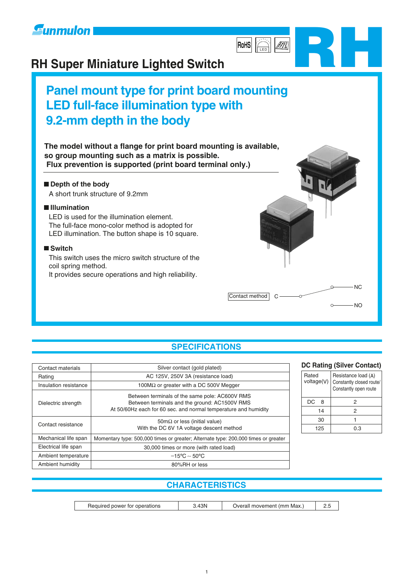

# **RH Super Miniature Lighted Switch**

# **Panel mount type for print board mounting LED full-face illumination type with 9.2-mm depth in the body**

**The model without a flange for print board mounting is available, so group mounting such as a matrix is possible. Flux prevention is supported (print board terminal only.)** 

#### **Depth of the body**

A short trunk structure of 9.2mm

#### **Illumination**

LED is used for the illumination element. The full-face mono-color method is adopted for LED illumination. The button shape is 10 square.

#### ■ Switch

This switch uses the micro switch structure of the coil spring method.

It provides secure operations and high reliability.

#### **SPECIFICATIONS**

|Contact method | C

| Contact materials     | Silver contact (gold plated)                                                                                                                                       |  |  |
|-----------------------|--------------------------------------------------------------------------------------------------------------------------------------------------------------------|--|--|
| Rating                | AC 125V, 250V 3A (resistance load)                                                                                                                                 |  |  |
| Insulation resistance | 100 $M\Omega$ or greater with a DC 500V Megger                                                                                                                     |  |  |
| Dielectric strength   | Between terminals of the same pole: AC600V RMS<br>Between terminals and the ground: AC1500V RMS<br>At 50/60Hz each for 60 sec. and normal temperature and humidity |  |  |
| Contact resistance    | $50 \text{m}\Omega$ or less (initial value)<br>With the DC 6V 1A voltage descent method                                                                            |  |  |
| Mechanical life span  | Momentary type: 500,000 times or greater; Alternate type: 200,000 times or greater                                                                                 |  |  |
| Electrical life span  | 30,000 times or more (with rated load)                                                                                                                             |  |  |
| Ambient temperature   | $-15^{\circ}$ C ~ 50 $^{\circ}$ C                                                                                                                                  |  |  |
| Ambient humidity      | 80%RH or less                                                                                                                                                      |  |  |

| <b>DC Rating (Silver Contact)</b> |  |                                                                          |  |  |
|-----------------------------------|--|--------------------------------------------------------------------------|--|--|
| Rated<br>voltage(V)               |  | Resistance load (A)<br>Constantly closed route/<br>Constantly open route |  |  |
| DC<br>8                           |  | 2                                                                        |  |  |
| 14                                |  | 2                                                                        |  |  |
|                                   |  |                                                                          |  |  |

0.3

125

NO

 $\circ$ 

NC

**RH**

LED

///]

**RoHS**

#### **CHARACTERISTICS**

| one<br>OWA.<br>10 H<br>апоня | 2N. | Max.<br>mn<br>m |  |
|------------------------------|-----|-----------------|--|
|------------------------------|-----|-----------------|--|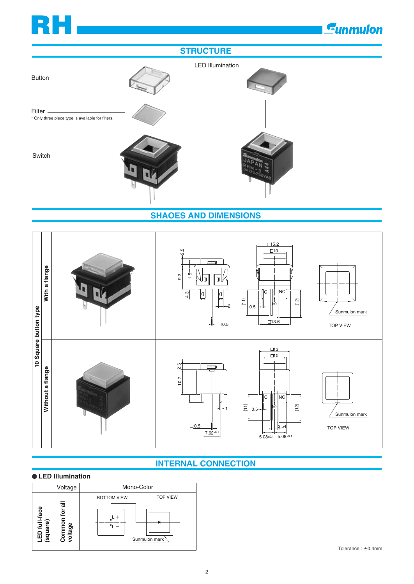# **RH**

# **Eunmulon**



#### **SHAOES AND DIMENSIONS**



### **INTERNAL CONNECTION**

#### **LED Illumination**

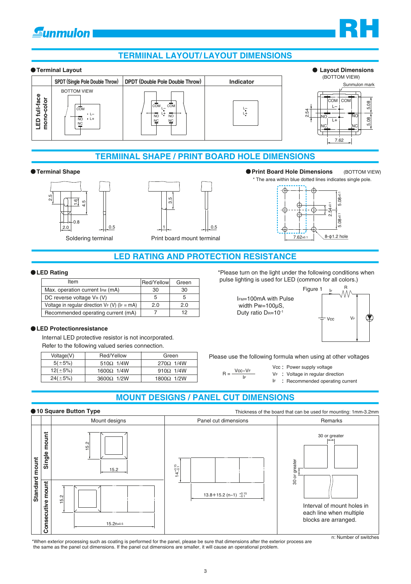# **E**unmulon

### **TERMlINAL LAYOUT/ LAYOUT DIMENSIONS**





**RH**

#### **TERMlINAL SHAPE / PRINT BOARD HOLE DIMENSIONS**





Soldering terminal Print board mount terminal

#### **Terminal Shape Print Board Hole Dimensions** (BOTTOM VIEW)





#### **LED RATING AND PROTECTION RESISTANCE**

#### **LED Rating**

| Item                                               | Red/Yellow | Green |
|----------------------------------------------------|------------|-------|
| Max. operation current IFM (mA)                    | 30         | 30    |
| DC reverse voltage VR (V)                          | 5          | 5     |
| Voltage in regular direction $V_F(V)$ ( $F = mA$ ) | 2.0        | 2.0   |
| Recommended operating current (mA)                 |            | 12    |

#### **LED Protectionresistance**

Internal LED protective resistor is not incorporated.

Refer to the following valued series connection.

| Voltage(V)    | Red/Yellow        | Green               |
|---------------|-------------------|---------------------|
| $5(\pm 5\%)$  | 510 $\Omega$ 1/4W | $270\Omega$ 1/4W    |
| $12(\pm 5\%)$ | $1600\Omega$ 1/4W | 910 $\Omega$ 1/4W   |
| $24(\pm 5\%)$ | $3600\Omega$ 1/2W | $1800\Omega$ $1/2W$ |

\*Please turn on the light under the following conditions when pulse lighting is used for LED (common for all colors.)

IFM=100mA with Pulse width Pw=100µS, Duty ratio DR=10-1



Please use the following formula when using at other voltages

 $R = \frac{Vcc - VF}{V}$ IF

Vcc Power supply voltage VF : Voltage in regular direction

IF : Recommended operating current

#### **MOUNT DESIGNS / PANEL CUT DIMENSIONS**



\*When exterior processing such as coating is performed for the panel, please be sure that dimensions after the exterior process are the same as the panel cut dimensions. If the panel cut dimensions are smaller, it will cause an operational problem.

n: Number of switches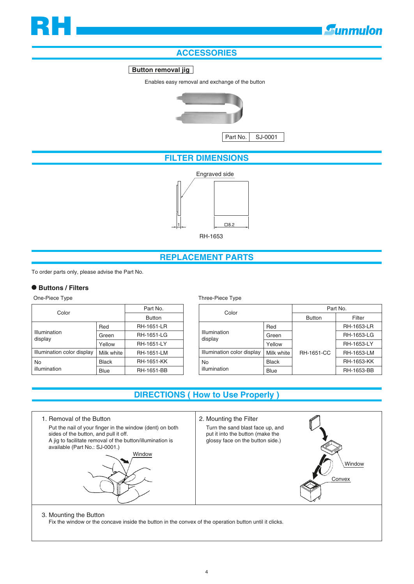## **Gunmulon**

### **ACCESSORIES**

#### **Button removal jig**

Enables easy removal and exchange of the button



Part No. SJ-0001

#### **FILTER DIMENSIONS**



#### **REPLACEMENT PARTS**

To order parts only, please advise the Part No.

#### **Buttons / Filters**

| Color                      | Part No.      |                   |
|----------------------------|---------------|-------------------|
|                            | <b>Button</b> |                   |
|                            | Red           | <b>RH-1651-LR</b> |
| Illumination<br>display    | Green         | <b>RH-1651-LG</b> |
|                            | Yellow        | <b>RH-1651-LY</b> |
| Illumination color display | Milk white    | <b>RH-1651-LM</b> |
| No                         | Black         | RH-1651-KK        |
| illumination               | Blue          | <b>RH-1651-BB</b> |

#### One-Piece Type Three-Piece Type

| Color                      |              | Part No.          |                   |  |
|----------------------------|--------------|-------------------|-------------------|--|
|                            |              | <b>Button</b>     | Filter            |  |
|                            | Red          |                   | <b>RH-1653-LR</b> |  |
| Illumination<br>display    | Green        |                   | RH-1653-LG        |  |
|                            | Yellow       |                   | <b>RH-1653-LY</b> |  |
| Illumination color display | Milk white   | <b>RH-1651-CC</b> | RH-1653-LM        |  |
| No                         | <b>Black</b> |                   | <b>RH-1653-KK</b> |  |
| illumination               | <b>Blue</b>  |                   | RH-1653-BB        |  |

#### **DIRECTIONS ( How to Use Properly )**



3. Mounting the Button

Fix the window or the concave inside the button in the convex of the operation button until it clicks.